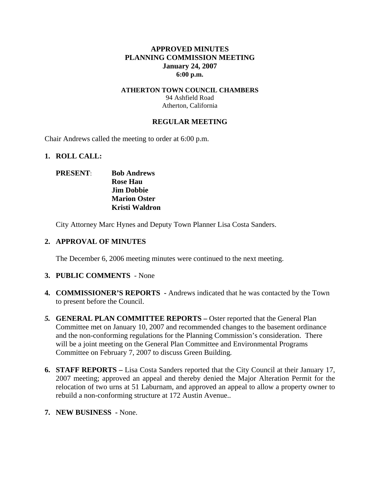# **APPROVED MINUTES PLANNING COMMISSION MEETING January 24, 2007 6:00 p.m.**

### **ATHERTON TOWN COUNCIL CHAMBERS**  94 Ashfield Road Atherton, California

## **REGULAR MEETING**

Chair Andrews called the meeting to order at 6:00 p.m.

## **1. ROLL CALL:**

# **PRESENT**: **Bob Andrews Rose Hau Jim Dobbie Marion Oster Kristi Waldron**

City Attorney Marc Hynes and Deputy Town Planner Lisa Costa Sanders.

### **2. APPROVAL OF MINUTES**

The December 6, 2006 meeting minutes were continued to the next meeting.

## **3. PUBLIC COMMENTS** - None

- **4. COMMISSIONER'S REPORTS -** Andrews indicated that he was contacted by the Town to present before the Council.
- *5.* **GENERAL PLAN COMMITTEE REPORTS** Oster reported that the General Plan Committee met on January 10, 2007 and recommended changes to the basement ordinance and the non-conforming regulations for the Planning Commission's consideration. There will be a joint meeting on the General Plan Committee and Environmental Programs Committee on February 7, 2007 to discuss Green Building*.*
- **6. STAFF REPORTS** Lisa Costa Sanders reported that the City Council at their January 17, 2007 meeting; approved an appeal and thereby denied the Major Alteration Permit for the relocation of two urns at 51 Laburnam, and approved an appeal to allow a property owner to rebuild a non-conforming structure at 172 Austin Avenue..
- **7. NEW BUSINESS** None.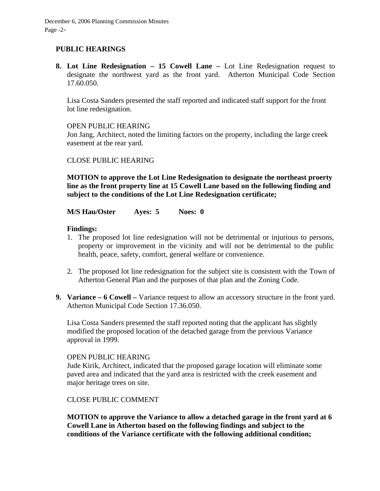December 6, 2006 Planning Commission Minutes Page -2-

# **PUBLIC HEARINGS**

**8. Lot Line Redesignation – 15 Cowell Lane –** Lot Line Redesignation request to designate the northwest yard as the front yard. Atherton Municipal Code Section 17.60.050.

Lisa Costa Sanders presented the staff reported and indicated staff support for the front lot line redesignation.

#### OPEN PUBLIC HEARING

Jon Jang, Architect, noted the limiting factors on the property, including the large creek easement at the rear yard.

CLOSE PUBLIC HEARING

**MOTION to approve the Lot Line Redesignation to designate the northeast proerty line as the front property line at 15 Cowell Lane based on the following finding and subject to the conditions of the Lot Line Redesignation certificate;** 

**M/S Hau/Oster Ayes: 5 Noes: 0** 

## **Findings:**

- 1. The proposed lot line redesignation will not be detrimental or injurious to persons, property or improvement in the vicinity and will not be detrimental to the public health, peace, safety, comfort, general welfare or convenience.
- 2. The proposed lot line redesignation for the subject site is consistent with the Town of Atherton General Plan and the purposes of that plan and the Zoning Code.
- **9. Variance 6 Cowell** Variance request to allow an accessory structure in the front yard. Atherton Municipal Code Section 17.36.050.

Lisa Costa Sanders presented the staff reported noting that the applicant has slightly modified the proposed location of the detached garage from the previous Variance approval in 1999.

#### OPEN PUBLIC HEARING

Jude Kirik, Architect, indicated that the proposed garage location will eliminate some paved area and indicated that the yard area is restricted with the creek easement and major heritage trees on site.

CLOSE PUBLIC COMMENT

**MOTION to approve the Variance to allow a detached garage in the front yard at 6 Cowell Lane in Atherton based on the following findings and subject to the conditions of the Variance certificate with the following additional condition;**